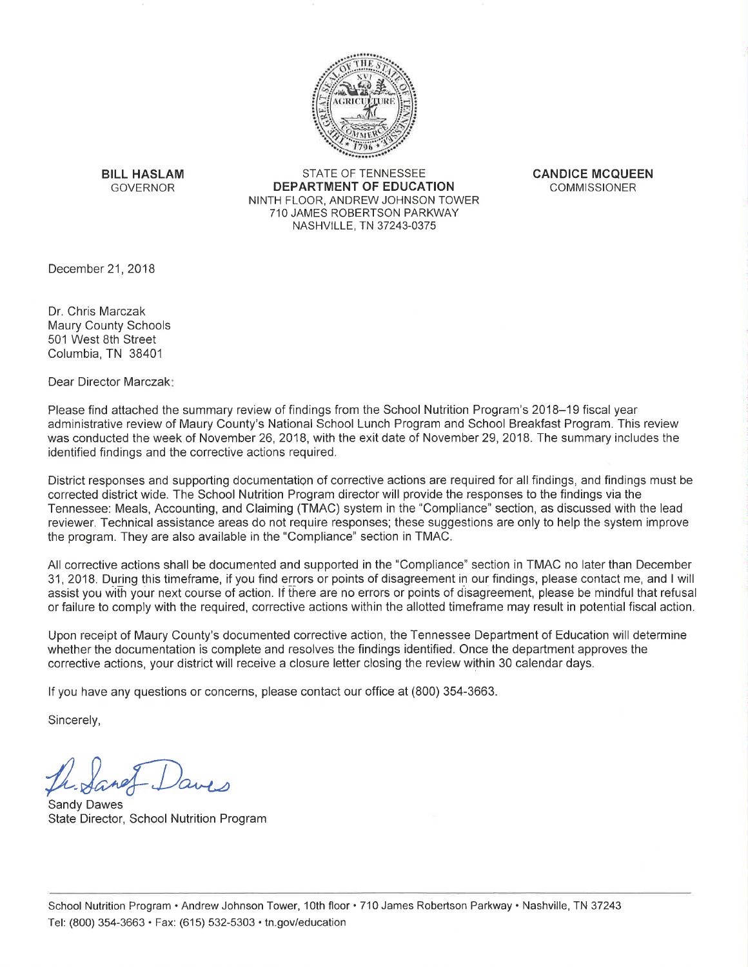

**BILL HASLAM GOVERNOR** 

STATE OF TENNESSEE DEPARTMENT OF EDUCATION NINTH FLOOR. ANDREW JOHNSON TOWER 710 JAMES ROBERTSON PARKWAY NASHVILLE, TN 37243-0375

**CANDICE MCQUEEN COMMISSIONER** 

December 21, 2018

Dr. Chris Marczak **Maury County Schools** 501 West 8th Street Columbia, TN 38401

Dear Director Marczak:

Please find attached the summary review of findings from the School Nutrition Program's 2018–19 fiscal year administrative review of Maury County's National School Lunch Program and School Breakfast Program. This review was conducted the week of November 26, 2018, with the exit date of November 29, 2018. The summary includes the identified findings and the corrective actions required.

District responses and supporting documentation of corrective actions are required for all findings, and findings must be corrected district wide. The School Nutrition Program director will provide the responses to the findings via the Tennessee: Meals, Accounting, and Claiming (TMAC) system in the "Compliance" section, as discussed with the lead reviewer. Technical assistance areas do not require responses; these suggestions are only to help the system improve the program. They are also available in the "Compliance" section in TMAC.

All corrective actions shall be documented and supported in the "Compliance" section in TMAC no later than December 31, 2018. During this timeframe, if you find errors or points of disagreement in our findings, please contact me, and I will assist you with your next course of action. If there are no errors or points of disagreement, please be mindful that refusal or failure to comply with the required, corrective actions within the allotted timeframe may result in potential fiscal action.

Upon receipt of Maury County's documented corrective action, the Tennessee Department of Education will determine whether the documentation is complete and resolves the findings identified. Once the department approves the corrective actions, your district will receive a closure letter closing the review within 30 calendar days.

If you have any questions or concerns, please contact our office at (800) 354-3663.

Sincerely,

**Sandy Dawes** State Director, School Nutrition Program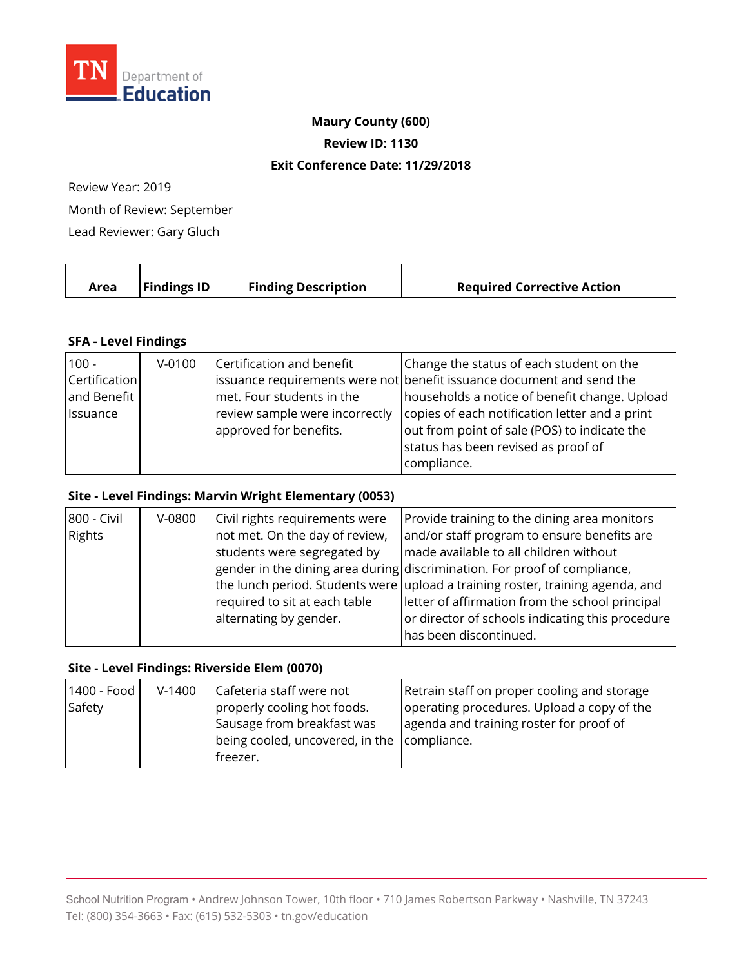

### **Maury County (600)**

**Review ID: 1130** 

### **Exit Conference Date: 11/29/2018**

Review Year: 2019

Month of Review: September

Lead Reviewer: Gary Gluch

| $\vert$ Findings ID $\vert$<br><b>Finding Description</b><br><b>Required Corrective Action</b><br>Area |
|--------------------------------------------------------------------------------------------------------|
|--------------------------------------------------------------------------------------------------------|

## **SFA - Level Findings**

| $100 -$       | $V-0100$ | Certification and benefit      | Change the status of each student on the                              |
|---------------|----------|--------------------------------|-----------------------------------------------------------------------|
| Certification |          |                                | issuance requirements were not benefit issuance document and send the |
| and Benefit   |          | met. Four students in the      | households a notice of benefit change. Upload                         |
| Issuance      |          | review sample were incorrectly | copies of each notification letter and a print                        |
|               |          | approved for benefits.         | out from point of sale (POS) to indicate the                          |
|               |          |                                | status has been revised as proof of                                   |
|               |          |                                | compliance.                                                           |

## **Site - Level Findings: Marvin Wright Elementary (0053)**

| 800 - Civil | V-0800 | Civil rights requirements were | Provide training to the dining area monitors                                   |
|-------------|--------|--------------------------------|--------------------------------------------------------------------------------|
| Rights      |        | not met. On the day of review, | and/or staff program to ensure benefits are                                    |
|             |        | students were segregated by    | made available to all children without                                         |
|             |        |                                | gender in the dining area during discrimination. For proof of compliance,      |
|             |        |                                | the lunch period. Students were upload a training roster, training agenda, and |
|             |        | required to sit at each table  | letter of affirmation from the school principal                                |
|             |        | alternating by gender.         | or director of schools indicating this procedure                               |
|             |        |                                | has been discontinued.                                                         |

### **Site - Level Findings: Riverside Elem (0070)**

| 1400 - Food | $V-1400$ | Cafeteria staff were not                    | Retrain staff on proper cooling and storage |
|-------------|----------|---------------------------------------------|---------------------------------------------|
| Safety      |          | properly cooling hot foods.                 | operating procedures. Upload a copy of the  |
|             |          | Sausage from breakfast was                  | agenda and training roster for proof of     |
|             |          | being cooled, uncovered, in the compliance. |                                             |
|             |          | freezer.                                    |                                             |